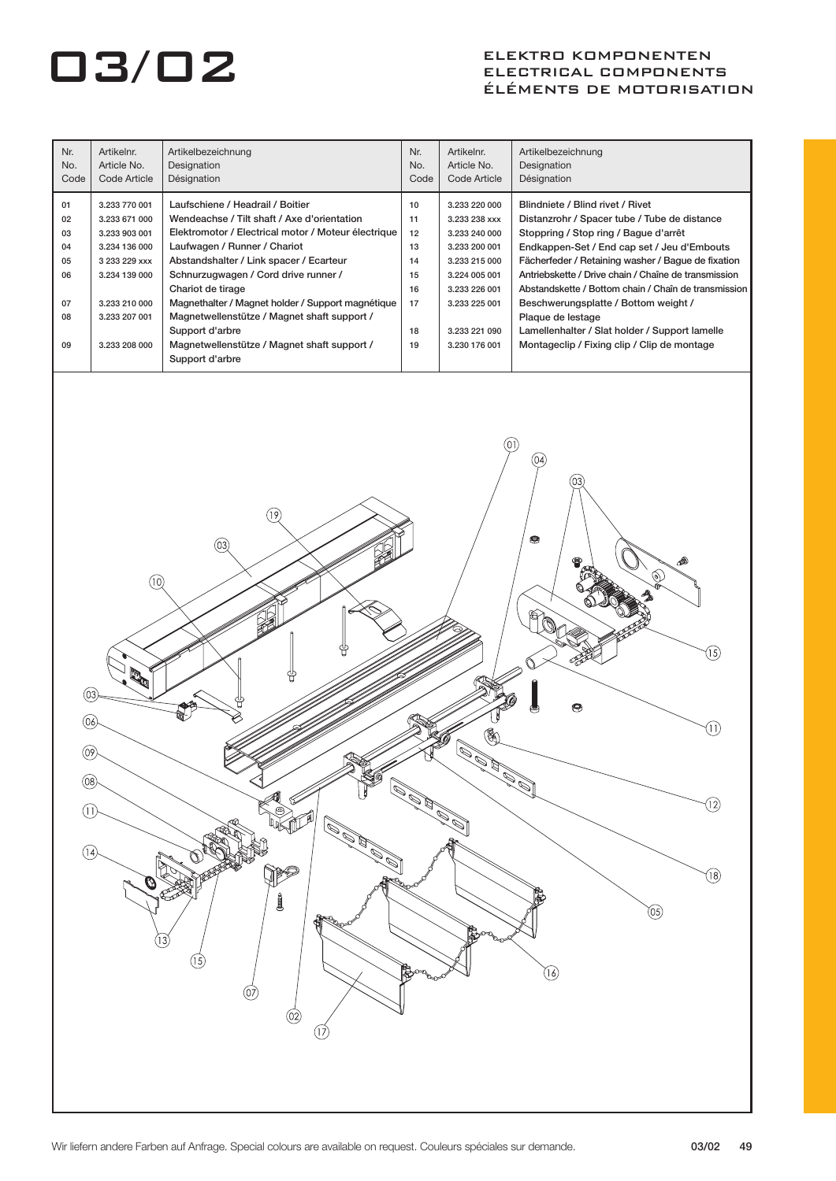| Nr.<br>No.<br>Code                                 | Artikelnr.<br>Article No.<br>Code Article                                                                                                             | Artikelbezeichnung<br>Designation<br>Désignation                                                                                                                                                                                                                                                                                                                                                                                                                                               | Nr.<br>No.<br>Code                                       | Artikelnr.<br>Article No.<br>Code Article                                                                                                                              | Artikelbezeichnung<br>Designation<br>Désignation                                                                                                                                                                                                                                                                                                                                                                                                                                                               |
|----------------------------------------------------|-------------------------------------------------------------------------------------------------------------------------------------------------------|------------------------------------------------------------------------------------------------------------------------------------------------------------------------------------------------------------------------------------------------------------------------------------------------------------------------------------------------------------------------------------------------------------------------------------------------------------------------------------------------|----------------------------------------------------------|------------------------------------------------------------------------------------------------------------------------------------------------------------------------|----------------------------------------------------------------------------------------------------------------------------------------------------------------------------------------------------------------------------------------------------------------------------------------------------------------------------------------------------------------------------------------------------------------------------------------------------------------------------------------------------------------|
| 01<br>02<br>03<br>04<br>05<br>06<br>07<br>08<br>09 | 3.233 770 001<br>3.233 671 000<br>3.233 903 001<br>3.234 136 000<br>3 233 229 xxx<br>3.234 139 000<br>3.233 210 000<br>3.233 207 001<br>3.233 208 000 | Laufschiene / Headrail / Boitier<br>Wendeachse / Tilt shaft / Axe d'orientation<br>Elektromotor / Electrical motor / Moteur électrique<br>Laufwagen / Runner / Chariot<br>Abstandshalter / Link spacer / Ecarteur<br>Schnurzugwagen / Cord drive runner /<br>Chariot de tirage<br>Magnethalter / Magnet holder / Support magnétique<br>Magnetwellenstütze / Magnet shaft support /<br>Support d'arbre<br>Magnetwellenstütze / Magnet shaft support /<br>Support d'arbre                        | 10<br>11<br>12<br>13<br>14<br>15<br>16<br>17<br>18<br>19 | 3.233 220 000<br>3.233 238 xxx<br>3.233 240 000<br>3.233 200 001<br>3.233 215 000<br>3.224 005 001<br>3.233 226 001<br>3.233 225 001<br>3.233 221 090<br>3.230 176 001 | Blindniete / Blind rivet / Rivet<br>Distanzrohr / Spacer tube / Tube de distance<br>Stoppring / Stop ring / Bague d'arrêt<br>Endkappen-Set / End cap set / Jeu d'Embouts<br>Fächerfeder / Retaining washer / Bague de fixation<br>Antriebskette / Drive chain / Chaîne de transmission<br>Abstandskette / Bottom chain / Chaîn de transmission  <br>Beschwerungsplatte / Bottom weight /<br>Plaque de lestage<br>Lamellenhalter / Slat holder / Support lamelle<br>Montageclip / Fixing clip / Clip de montage |
| 03<br>06<br>(09)<br>(08)<br>O)<br>(14)             | (10)<br>Ø                                                                                                                                             | $ 9\rangle$<br>(03)<br>Kø<br>ම<br>i Sa<br>$\mathcal{O}_{\mathcal{O}}$<br>$\begin{picture}(20,20) \put(0,0){\line(1,0){10}} \put(15,0){\line(1,0){10}} \put(15,0){\line(1,0){10}} \put(15,0){\line(1,0){10}} \put(15,0){\line(1,0){10}} \put(15,0){\line(1,0){10}} \put(15,0){\line(1,0){10}} \put(15,0){\line(1,0){10}} \put(15,0){\line(1,0){10}} \put(15,0){\line(1,0){10}} \put(15,0){\line(1,0){10}} \put(15,0){\line(1$<br>j<br><b>ARA</b><br>(13)<br>(15)<br>(07<br>$\circledcirc$<br>QŽ | $\mathscr{P}$                                            | 鄱<br>D<br><b>May 1997</b>                                                                                                                                              | 04)<br>03<br>9<br>⚠<br>15)<br>❸<br>11<br>(12)<br>(18)<br>$\circledcirc$<br>(16)                                                                                                                                                                                                                                                                                                                                                                                                                                |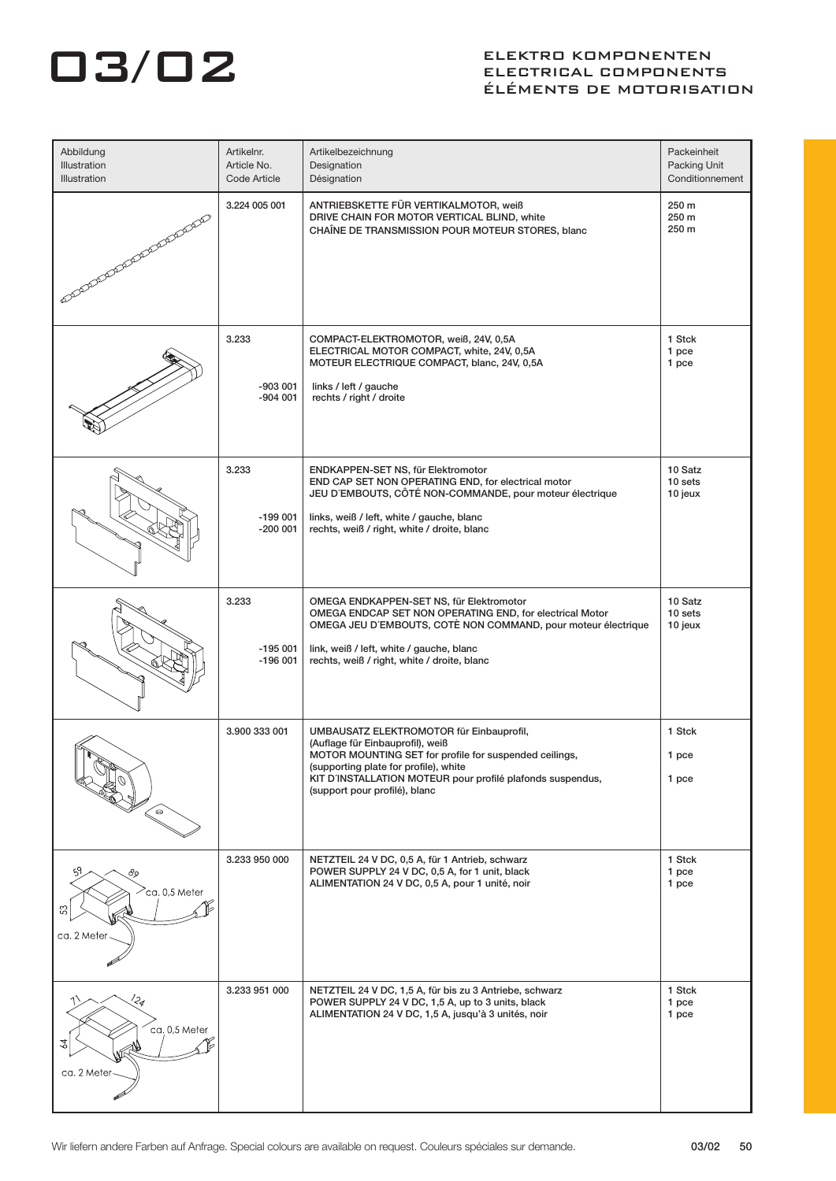| Abbildung<br>Illustration<br>Illustration      | Artikelnr.<br>Article No.<br>Code Article | Artikelbezeichnung<br>Designation<br>Désignation                                                                                                                                                                                                                               | Packeinheit<br>Packing Unit<br>Conditionnement |
|------------------------------------------------|-------------------------------------------|--------------------------------------------------------------------------------------------------------------------------------------------------------------------------------------------------------------------------------------------------------------------------------|------------------------------------------------|
| SOLARADARA ARABARA                             | 3.224 005 001                             | ANTRIEBSKETTE FÜR VERTIKALMOTOR, weiß<br>DRIVE CHAIN FOR MOTOR VERTICAL BLIND, white<br>CHAÎNE DE TRANSMISSION POUR MOTEUR STORES, blanc                                                                                                                                       | 250 m<br>250 m<br>250 m                        |
|                                                | 3.233<br>$-903001$<br>$-904001$           | COMPACT-ELEKTROMOTOR, weiß, 24V, 0,5A<br>ELECTRICAL MOTOR COMPACT, white, 24V, 0,5A<br>MOTEUR ELECTRIQUE COMPACT, blanc, 24V, 0,5A<br>links / left / gauche<br>rechts / right / droite                                                                                         | 1 Stck<br>1 pce<br>1 pce                       |
|                                                | 3.233<br>$-199001$<br>$-200001$           | ENDKAPPEN-SET NS, für Elektromotor<br>END CAP SET NON OPERATING END, for electrical motor<br>JEU D'EMBOUTS, CÔTÉ NON-COMMANDE, pour moteur électrique<br>links, weiß / left, white / gauche, blanc<br>rechts, weiß / right, white / droite, blanc                              | 10 Satz<br>10 sets<br>10 jeux                  |
|                                                | 3.233<br>$-195001$<br>$-196001$           | OMEGA ENDKAPPEN-SET NS, für Elektromotor<br>OMEGA ENDCAP SET NON OPERATING END, for electrical Motor<br>OMEGA JEU D'EMBOUTS, COTÉ NON COMMAND, pour moteur électrique<br>link, weiß / left, white / gauche, blanc<br>rechts, weiß / right, white / droite, blanc               | 10 Satz<br>10 sets<br>10 jeux                  |
| ົ⊖                                             | 3.900 333 001                             | UMBAUSATZ ELEKTROMOTOR für Einbauprofil,<br>(Auflage für Einbauprofil), weiß<br>MOTOR MOUNTING SET for profile for suspended ceilings,<br>(supporting plate for profile), white<br>KIT D'INSTALLATION MOTEUR pour profilé plafonds suspendus,<br>(support pour profilé), blanc | 1 Stck<br>1 pce<br>1 pce                       |
| 89<br>$\sim$ ca. 0,5 Meter<br>R<br>ca. 2 Meter | 3.233 950 000                             | NETZTEIL 24 V DC, 0,5 A, für 1 Antrieb, schwarz<br>POWER SUPPLY 24 V DC, 0,5 A, for 1 unit, black<br>ALIMENTATION 24 V DC, 0,5 A, pour 1 unité, noir                                                                                                                           | 1 Stck<br>1 pce<br>1 pce                       |
| !24<br>ca. 0,5 Meter<br>24<br>ca. 2 Meter-     | 3.233 951 000                             | NETZTEIL 24 V DC, 1,5 A, für bis zu 3 Antriebe, schwarz<br>POWER SUPPLY 24 V DC, 1,5 A, up to 3 units, black<br>ALIMENTATION 24 V DC, 1,5 A, jusqu'à 3 unités, noir                                                                                                            | 1 Stck<br>1 pce<br>1 pce                       |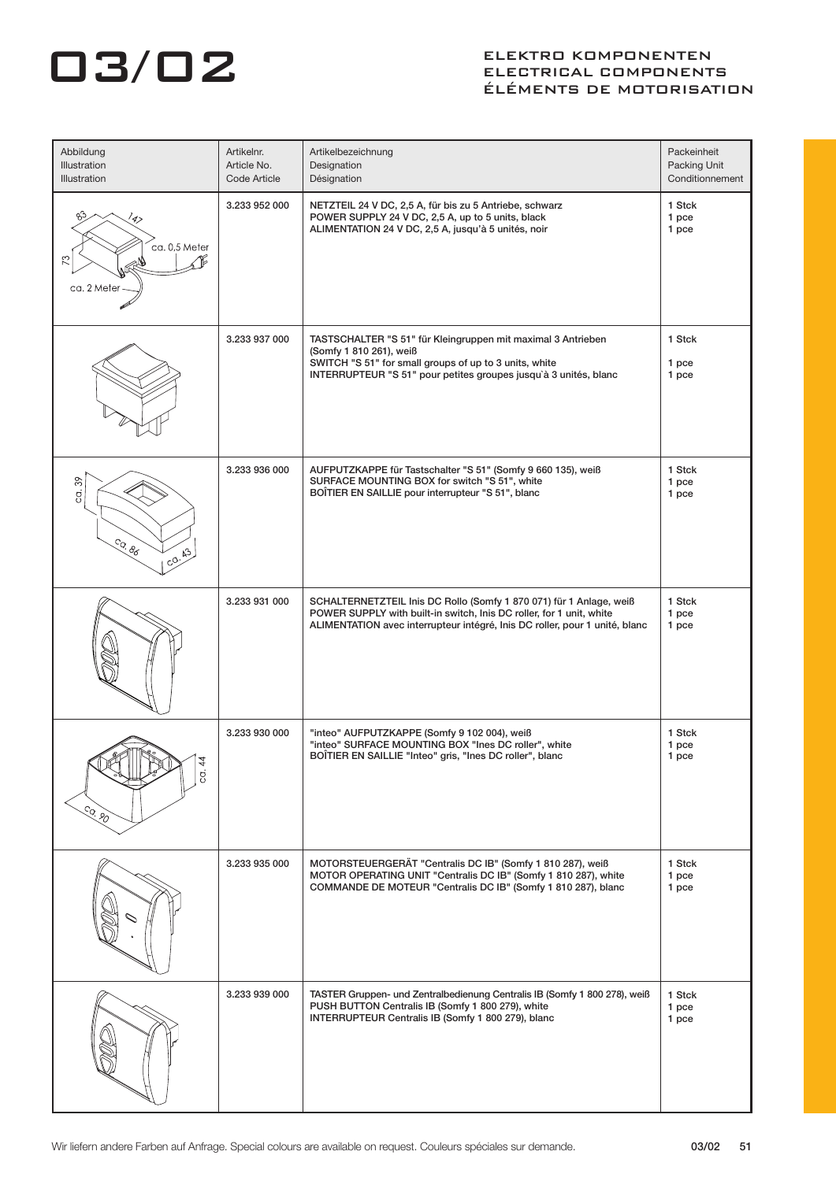| Abbildung<br>Illustration<br>Illustration             | Artikelnr.<br>Article No.<br>Code Article | Artikelbezeichnung<br>Designation<br>Désignation                                                                                                                                                                           | Packeinheit<br>Packing Unit<br>Conditionnement |
|-------------------------------------------------------|-------------------------------------------|----------------------------------------------------------------------------------------------------------------------------------------------------------------------------------------------------------------------------|------------------------------------------------|
| /4><br>ca. 0,5 Meter<br>$\mathbb{R}^2$<br>ca. 2 Meter | 3.233 952 000                             | NETZTEIL 24 V DC, 2,5 A, für bis zu 5 Antriebe, schwarz<br>POWER SUPPLY 24 V DC, 2,5 A, up to 5 units, black<br>ALIMENTATION 24 V DC, 2,5 A, jusqu'à 5 unités, noir                                                        | 1 Stck<br>1 pce<br>1 pce                       |
|                                                       | 3.233 937 000                             | TASTSCHALTER "S 51" für Kleingruppen mit maximal 3 Antrieben<br>(Somfy 1 810 261), weiß<br>SWITCH "S 51" for small groups of up to 3 units, white<br>INTERRUPTEUR "S 51" pour petites groupes jusqu'à 3 unités, blanc      | 1 Stck<br>1 pce<br>1 pce                       |
| $\frac{8}{3}$<br>ġ.<br>Co. 86<br>CO.43                | 3.233 936 000                             | AUFPUTZKAPPE für Tastschalter "S 51" (Somfy 9 660 135), weiß<br>SURFACE MOUNTING BOX for switch "S 51", white<br>BOÎTIER EN SAILLIE pour interrupteur "S 51", blanc                                                        | 1 Stck<br>1 pce<br>1 pce                       |
|                                                       | 3.233 931 000                             | SCHALTERNETZTEIL Inis DC Rollo (Somfy 1 870 071) für 1 Anlage, weiß<br>POWER SUPPLY with built-in switch, Inis DC roller, for 1 unit, white<br>ALIMENTATION avec interrupteur intégré, Inis DC roller, pour 1 unité, blanc | 1 Stck<br>1 pce<br>1 pce                       |
| g<br>So. 80                                           | 3.233 930 000                             | "inteo" AUFPUTZKAPPE (Somfy 9 102 004), weiß<br>"inteo" SURFACE MOUNTING BOX "Ines DC roller", white<br>BOÎTIER EN SAILLIE "Inteo" gris, "Ines DC roller", blanc                                                           | 1 Stck<br>1 pce<br>1 pce                       |
|                                                       | 3.233 935 000                             | MOTORSTEUERGERÄT "Centralis DC IB" (Somfy 1 810 287), weiß<br>MOTOR OPERATING UNIT "Centralis DC IB" (Somfy 1 810 287), white<br>COMMANDE DE MOTEUR "Centralis DC IB" (Somfy 1 810 287), blanc                             | 1 Stck<br>1 pce<br>1 pce                       |
|                                                       | 3.233 939 000                             | TASTER Gruppen- und Zentralbedienung Centralis IB (Somfy 1 800 278), weiß<br>PUSH BUTTON Centralis IB (Somfy 1 800 279), white<br>INTERRUPTEUR Centralis IB (Somfy 1 800 279), blanc                                       | 1 Stck<br>1 pce<br>1 pce                       |